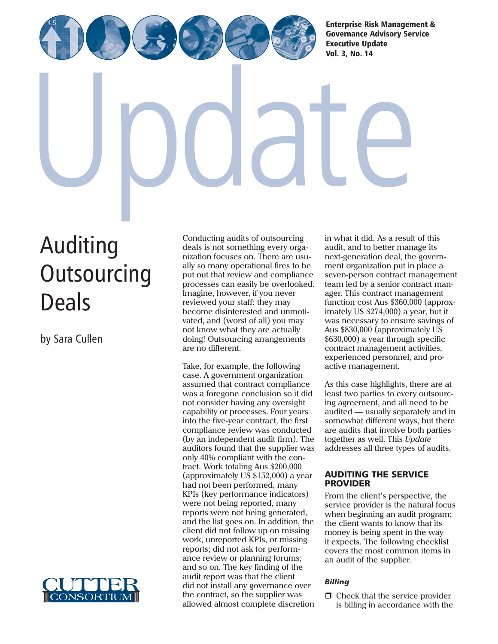[Enterprise Risk Management &](http://www.cutter.com) Governance Advisory Service Executive Update Vol. 3, No. 14

Auditing **[Outsourcing](http://www.cutter.com)** Deals

by Sara Cullen



Conducting audits of outsourcing deals is not something every organization focuses on. There are usually so many operational fires to be put out that review and compliance processes can easily be overlooked. Imagine, however, if you never reviewed your staff: they may become disinterested and unmotivated, and (worst of all) you may not know what they are actually doing! Outsourcing arrangements are no different.

Take, for example, the following case. A government organization assumed that contract compliance was a foregone conclusion so it did not consider having any oversight capability or processes. Four years into the five-year contract, the first compliance review was conducted (by an independent audit firm). The auditors found that the supplier was only 40% compliant with the contract. Work totaling Aus \$200,000 (approximately US \$152,000) a year had not been performed, many KPIs (key performance indicators) were not being reported, many reports were not being generated, and the list goes on. In addition, the client did not follow up on missing work, unreported KPIs, or missing reports; did not ask for performance review or planning forums; and so on. The key finding of the audit report was that the client did not install any governance over the contract, so the supplier was allowed almost complete discretion

in what it did. As a result of this audit, and to better manage its next-generation deal, the government organization put in place a seven-person contract management team led by a senior contract manager. This contract management function cost Aus \$360,000 (approximately US \$274,000) a year, but it was necessary to ensure savings of Aus \$830,000 (approximately US \$630,000) a year through specific contract management activities, experienced personnel, and proactive management.

As this case highlights, there are at least two parties to every outsourcing agreement, and all need to be audited — usually separately and in somewhat different ways, but there are audits that involve both parties together as well. This *Update* addresses all three types of audits.

### AUDITING THE SERVICE PROVIDER

From the client's perspective, the service provider is the natural focus when beginning an audit program; the client wants to know that its money is being spent in the way it expects. The following checklist covers the most common items in an audit of the supplier.

# *Billing*

 $\Box$  Check that the service provider is billing in accordance with the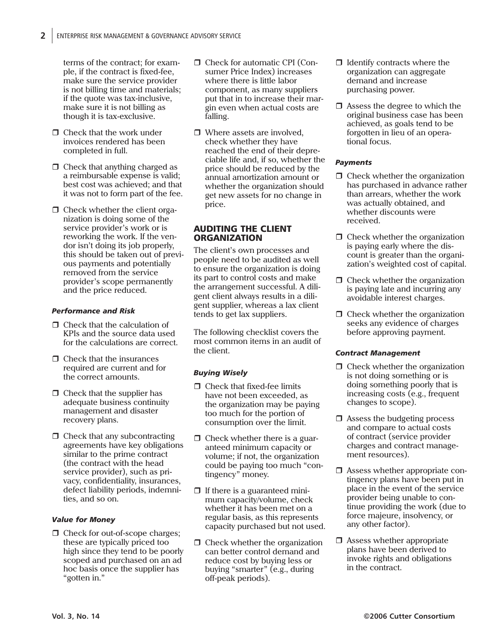terms of the contract; for example, if the contract is fixed-fee, make sure the service provider is not billing time and materials; if the quote was tax-inclusive, make sure it is not billing as though it is tax-exclusive.

- $\Box$  Check that the work under invoices rendered has been completed in full.
- $\Box$  Check that anything charged as a reimbursable expense is valid; best cost was achieved; and that it was not to form part of the fee.
- $\Box$  Check whether the client organization is doing some of the service provider's work or is reworking the work. If the vendor isn't doing its job properly, this should be taken out of previous payments and potentially removed from the service provider's scope permanently and the price reduced.

### *Performance and Risk*

- Check that the calculation of KPIs and the source data used for the calculations are correct.
- $\Box$  Check that the insurances required are current and for the correct amounts.
- $\Box$  Check that the supplier has adequate business continuity management and disaster recovery plans.
- $\Box$  Check that any subcontracting agreements have key obligations similar to the prime contract (the contract with the head service provider), such as privacy, confidentiality, insurances, defect liability periods, indemnities, and so on.

### *Value for Money*

 $\Box$  Check for out-of-scope charges; these are typically priced too high since they tend to be poorly scoped and purchased on an ad hoc basis once the supplier has "gotten in."

- □ Check for automatic CPI (Consumer Price Index) increases where there is little labor component, as many suppliers put that in to increase their margin even when actual costs are falling.
- □ Where assets are involved, check whether they have reached the end of their depreciable life and, if so, whether the price should be reduced by the annual amortization amount or whether the organization should get new assets for no change in price.

#### AUDITING THE CLIENT **ORGANIZATION**

The client's own processes and people need to be audited as well to ensure the organization is doing its part to control costs and make the arrangement successful. A diligent client always results in a diligent supplier, whereas a lax client tends to get lax suppliers.

The following checklist covers the most common items in an audit of the client.

### *Buying Wisely*

- $\Box$  Check that fixed-fee limits have not been exceeded, as the organization may be paying too much for the portion of consumption over the limit.
- $\Box$  Check whether there is a guaranteed minimum capacity or volume; if not, the organization could be paying too much "contingency" money.
- $\Box$  If there is a guaranteed minimum capacity/volume, check whether it has been met on a regular basis, as this represents capacity purchased but not used.
- $\Box$  Check whether the organization can better control demand and reduce cost by buying less or buying "smarter" (e.g., during off-peak periods).
- $\Box$  Identify contracts where the organization can aggregate demand and increase purchasing power.
- $\Box$  Assess the degree to which the original business case has been achieved, as goals tend to be forgotten in lieu of an operational focus.

### *Payments*

- $\Box$  Check whether the organization has purchased in advance rather than arrears, whether the work was actually obtained, and whether discounts were received.
- $\Box$  Check whether the organization is paying early where the discount is greater than the organization's weighted cost of capital.
- $\Box$  Check whether the organization is paying late and incurring any avoidable interest charges.
- $\Box$  Check whether the organization seeks any evidence of charges before approving payment.

### *Contract Management*

- $\Box$  Check whether the organization is not doing something or is doing something poorly that is increasing costs (e.g., frequent changes to scope).
- $\Box$  Assess the budgeting process and compare to actual costs of contract (service provider charges and contract management resources).
- Assess whether appropriate contingency plans have been put in place in the event of the service provider being unable to continue providing the work (due to force majeure, insolvency, or any other factor).
- $\Box$  Assess whether appropriate plans have been derived to invoke rights and obligations in the contract.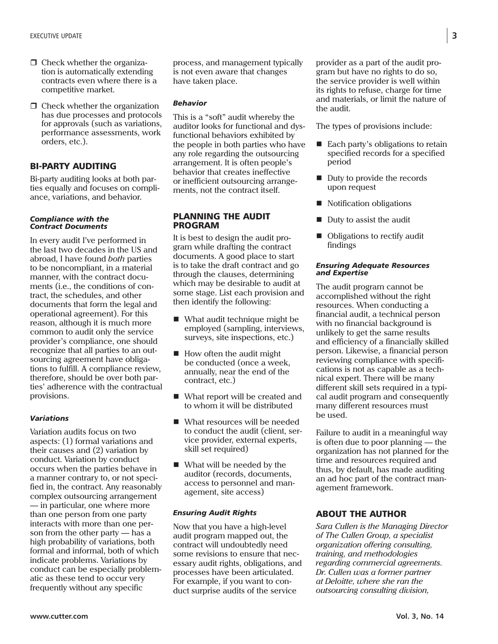- $\Box$  Check whether the organization is automatically extending contracts even where there is a competitive market.
- $\Box$  Check whether the organization has due processes and protocols for approvals (such as variations, performance assessments, work orders, etc.).

## BI-PARTY AUDITING

Bi-party auditing looks at both parties equally and focuses on compliance, variations, and behavior.

#### *Compliance with the Contract Documents*

In every audit I've performed in the last two decades in the US and abroad, I have found *both* parties to be noncompliant, in a material manner, with the contract documents (i.e., the conditions of contract, the schedules, and other documents that form the legal and operational agreement). For this reason, although it is much more common to audit only the service provider's compliance, one should recognize that all parties to an outsourcing agreement have obligations to fulfill. A compliance review, therefore, should be over both parties' adherence with the contractual provisions.

## *Variations*

Variation audits focus on two aspects: (1) formal variations and their causes and (2) variation by conduct. Variation by conduct occurs when the parties behave in a manner contrary to, or not specified in, the contract. Any reasonably complex outsourcing arrangement — in particular, one where more than one person from one party interacts with more than one person from the other party — has a high probability of variations, both formal and informal, both of which indicate problems. Variations by conduct can be especially problematic as these tend to occur very frequently without any specific

process, and management typically is not even aware that changes have taken place.

### *Behavior*

This is a "soft" audit whereby the auditor looks for functional and dysfunctional behaviors exhibited by the people in both parties who have any role regarding the outsourcing arrangement. It is often people's behavior that creates ineffective or inefficient outsourcing arrangements, not the contract itself.

### PLANNING THE AUDIT PROGRAM

It is best to design the audit program while drafting the contract documents. A good place to start is to take the draft contract and go through the clauses, determining which may be desirable to audit at some stage. List each provision and then identify the following:

- What audit technique might be employed (sampling, interviews, surveys, site inspections, etc.)
- $\blacksquare$  How often the audit might be conducted (once a week, annually, near the end of the contract, etc.)
- What report will be created and to whom it will be distributed
- What resources will be needed to conduct the audit (client, service provider, external experts, skill set required)
- What will be needed by the auditor (records, documents, access to personnel and management, site access)

### *Ensuring Audit Rights*

Now that you have a high-level audit program mapped out, the contract will undoubtedly need some revisions to ensure that necessary audit rights, obligations, and processes have been articulated. For example, if you want to conduct surprise audits of the service

provider as a part of the audit program but have no rights to do so, the service provider is well within its rights to refuse, charge for time and materials, or limit the nature of the audit.

The types of provisions include:

- Each party's obligations to retain specified records for a specified period
- Duty to provide the records upon request
- Notification obligations
- $\blacksquare$  Duty to assist the audit
- Obligations to rectify audit findings

#### *Ensuring Adequate Resources and Expertise*

The audit program cannot be accomplished without the right resources. When conducting a financial audit, a technical person with no financial background is unlikely to get the same results and efficiency of a financially skilled person. Likewise, a financial person reviewing compliance with specifications is not as capable as a technical expert. There will be many different skill sets required in a typical audit program and consequently many different resources must be used.

Failure to audit in a meaningful way is often due to poor planning — the organization has not planned for the time and resources required and thus, by default, has made auditing an ad hoc part of the contract management framework.

# ABOUT THE AUTHOR

*Sara Cullen is the Managing Director of The Cullen Group, a specialist organization offering consulting, training, and methodologies regarding commercial agreements. Dr. Cullen was a former partner at Deloitte, where she ran the outsourcing consulting division,*